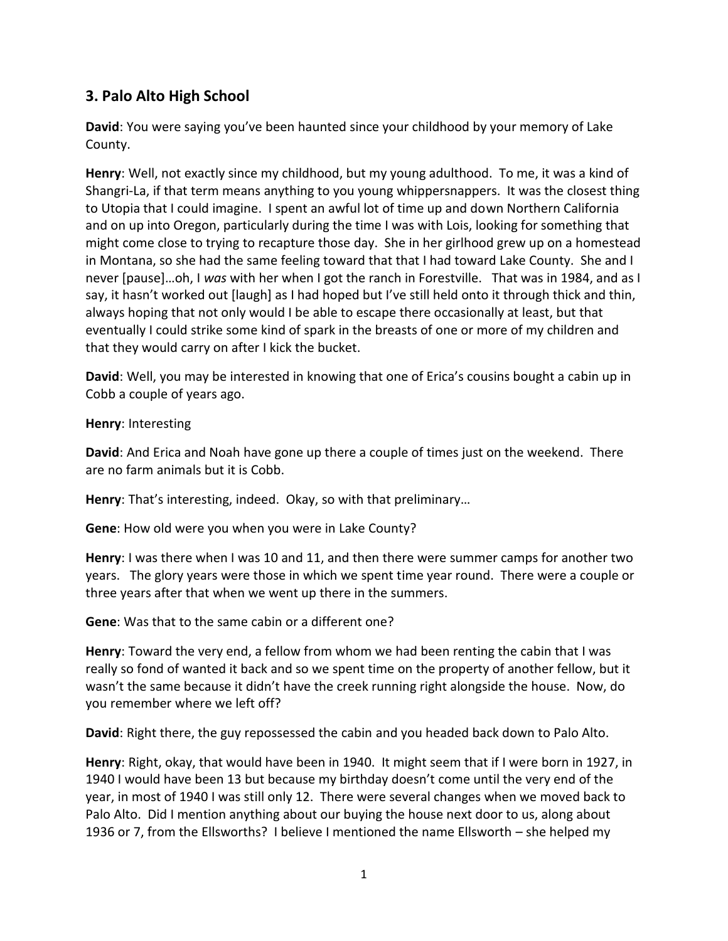## **3. Palo Alto High School**

**David**: You were saying you've been haunted since your childhood by your memory of Lake County.

**Henry**: Well, not exactly since my childhood, but my young adulthood. To me, it was a kind of Shangri-La, if that term means anything to you young whippersnappers. It was the closest thing to Utopia that I could imagine. I spent an awful lot of time up and down Northern California and on up into Oregon, particularly during the time I was with Lois, looking for something that might come close to trying to recapture those day. She in her girlhood grew up on a homestead in Montana, so she had the same feeling toward that that I had toward Lake County. She and I never [pause]…oh, I *was* with her when I got the ranch in Forestville. That was in 1984, and as I say, it hasn't worked out [laugh] as I had hoped but I've still held onto it through thick and thin, always hoping that not only would I be able to escape there occasionally at least, but that eventually I could strike some kind of spark in the breasts of one or more of my children and that they would carry on after I kick the bucket.

**David**: Well, you may be interested in knowing that one of Erica's cousins bought a cabin up in Cobb a couple of years ago.

**Henry**: Interesting

**David**: And Erica and Noah have gone up there a couple of times just on the weekend. There are no farm animals but it is Cobb.

**Henry**: That's interesting, indeed. Okay, so with that preliminary…

**Gene**: How old were you when you were in Lake County?

**Henry**: I was there when I was 10 and 11, and then there were summer camps for another two years. The glory years were those in which we spent time year round. There were a couple or three years after that when we went up there in the summers.

**Gene**: Was that to the same cabin or a different one?

**Henry**: Toward the very end, a fellow from whom we had been renting the cabin that I was really so fond of wanted it back and so we spent time on the property of another fellow, but it wasn't the same because it didn't have the creek running right alongside the house. Now, do you remember where we left off?

**David**: Right there, the guy repossessed the cabin and you headed back down to Palo Alto.

**Henry**: Right, okay, that would have been in 1940. It might seem that if I were born in 1927, in 1940 I would have been 13 but because my birthday doesn't come until the very end of the year, in most of 1940 I was still only 12. There were several changes when we moved back to Palo Alto. Did I mention anything about our buying the house next door to us, along about 1936 or 7, from the Ellsworths? I believe I mentioned the name Ellsworth – she helped my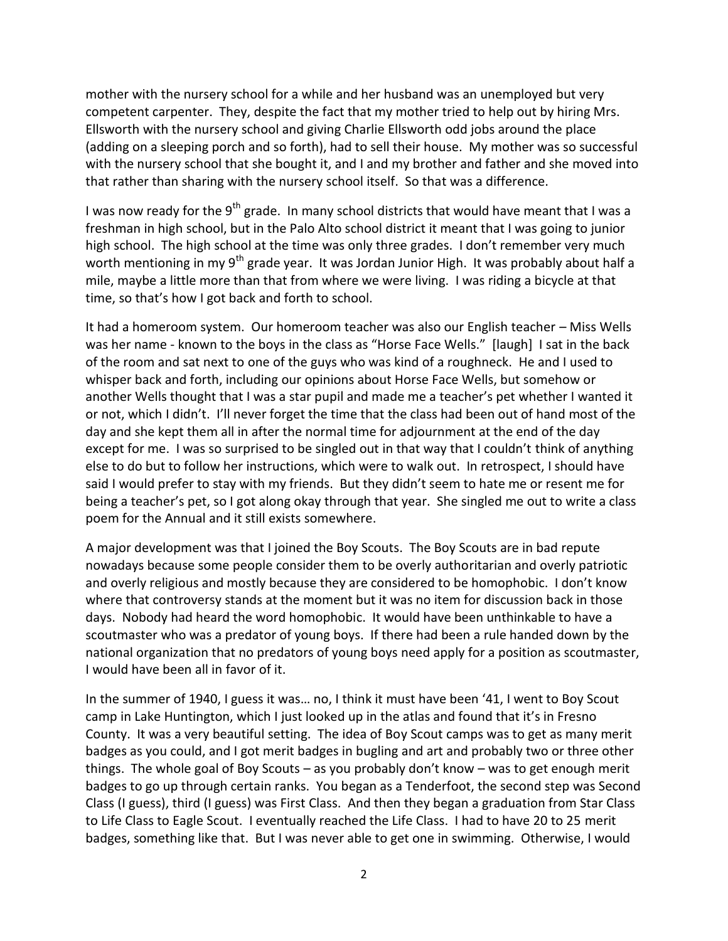mother with the nursery school for a while and her husband was an unemployed but very competent carpenter. They, despite the fact that my mother tried to help out by hiring Mrs. Ellsworth with the nursery school and giving Charlie Ellsworth odd jobs around the place (adding on a sleeping porch and so forth), had to sell their house. My mother was so successful with the nursery school that she bought it, and I and my brother and father and she moved into that rather than sharing with the nursery school itself. So that was a difference.

I was now ready for the 9<sup>th</sup> grade. In many school districts that would have meant that I was a freshman in high school, but in the Palo Alto school district it meant that I was going to junior high school. The high school at the time was only three grades. I don't remember very much worth mentioning in my  $9<sup>th</sup>$  grade year. It was Jordan Junior High. It was probably about half a mile, maybe a little more than that from where we were living. I was riding a bicycle at that time, so that's how I got back and forth to school.

It had a homeroom system. Our homeroom teacher was also our English teacher – Miss Wells was her name - known to the boys in the class as "Horse Face Wells." [laugh] I sat in the back of the room and sat next to one of the guys who was kind of a roughneck. He and I used to whisper back and forth, including our opinions about Horse Face Wells, but somehow or another Wells thought that I was a star pupil and made me a teacher's pet whether I wanted it or not, which I didn't. I'll never forget the time that the class had been out of hand most of the day and she kept them all in after the normal time for adjournment at the end of the day except for me. I was so surprised to be singled out in that way that I couldn't think of anything else to do but to follow her instructions, which were to walk out. In retrospect, I should have said I would prefer to stay with my friends. But they didn't seem to hate me or resent me for being a teacher's pet, so I got along okay through that year. She singled me out to write a class poem for the Annual and it still exists somewhere.

A major development was that I joined the Boy Scouts. The Boy Scouts are in bad repute nowadays because some people consider them to be overly authoritarian and overly patriotic and overly religious and mostly because they are considered to be homophobic. I don't know where that controversy stands at the moment but it was no item for discussion back in those days. Nobody had heard the word homophobic. It would have been unthinkable to have a scoutmaster who was a predator of young boys. If there had been a rule handed down by the national organization that no predators of young boys need apply for a position as scoutmaster, I would have been all in favor of it.

In the summer of 1940, I guess it was… no, I think it must have been '41, I went to Boy Scout camp in Lake Huntington, which I just looked up in the atlas and found that it's in Fresno County. It was a very beautiful setting. The idea of Boy Scout camps was to get as many merit badges as you could, and I got merit badges in bugling and art and probably two or three other things. The whole goal of Boy Scouts – as you probably don't know – was to get enough merit badges to go up through certain ranks. You began as a Tenderfoot, the second step was Second Class (I guess), third (I guess) was First Class. And then they began a graduation from Star Class to Life Class to Eagle Scout. I eventually reached the Life Class. I had to have 20 to 25 merit badges, something like that. But I was never able to get one in swimming. Otherwise, I would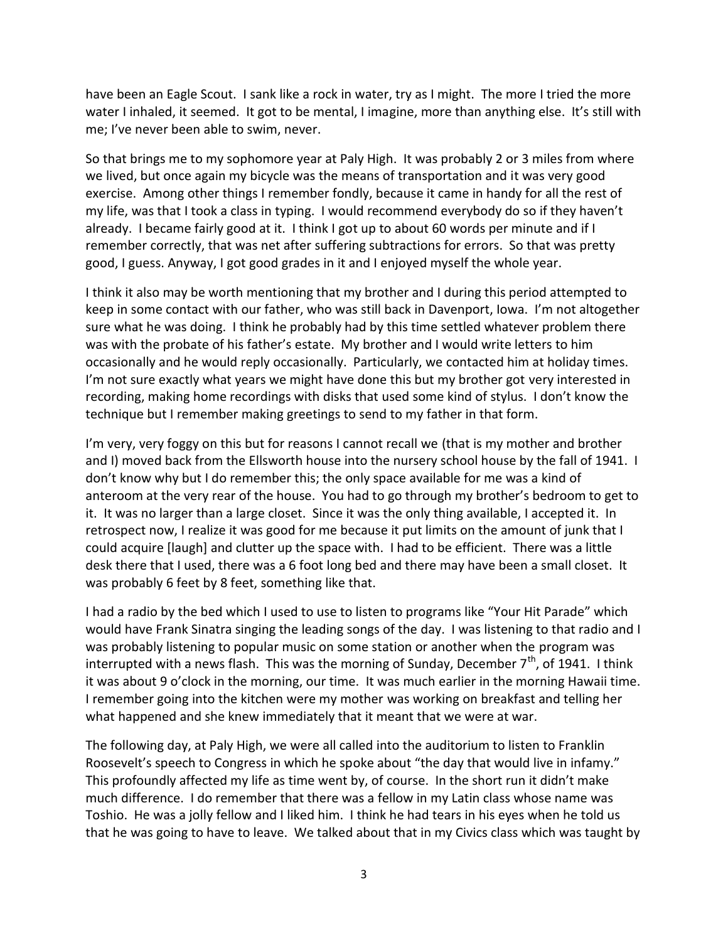have been an Eagle Scout. I sank like a rock in water, try as I might. The more I tried the more water I inhaled, it seemed. It got to be mental, I imagine, more than anything else. It's still with me; I've never been able to swim, never.

So that brings me to my sophomore year at Paly High. It was probably 2 or 3 miles from where we lived, but once again my bicycle was the means of transportation and it was very good exercise. Among other things I remember fondly, because it came in handy for all the rest of my life, was that I took a class in typing. I would recommend everybody do so if they haven't already. I became fairly good at it. I think I got up to about 60 words per minute and if I remember correctly, that was net after suffering subtractions for errors. So that was pretty good, I guess. Anyway, I got good grades in it and I enjoyed myself the whole year.

I think it also may be worth mentioning that my brother and I during this period attempted to keep in some contact with our father, who was still back in Davenport, Iowa. I'm not altogether sure what he was doing. I think he probably had by this time settled whatever problem there was with the probate of his father's estate. My brother and I would write letters to him occasionally and he would reply occasionally. Particularly, we contacted him at holiday times. I'm not sure exactly what years we might have done this but my brother got very interested in recording, making home recordings with disks that used some kind of stylus. I don't know the technique but I remember making greetings to send to my father in that form.

I'm very, very foggy on this but for reasons I cannot recall we (that is my mother and brother and I) moved back from the Ellsworth house into the nursery school house by the fall of 1941. I don't know why but I do remember this; the only space available for me was a kind of anteroom at the very rear of the house. You had to go through my brother's bedroom to get to it. It was no larger than a large closet. Since it was the only thing available, I accepted it. In retrospect now, I realize it was good for me because it put limits on the amount of junk that I could acquire [laugh] and clutter up the space with. I had to be efficient. There was a little desk there that I used, there was a 6 foot long bed and there may have been a small closet. It was probably 6 feet by 8 feet, something like that.

I had a radio by the bed which I used to use to listen to programs like "Your Hit Parade" which would have Frank Sinatra singing the leading songs of the day. I was listening to that radio and I was probably listening to popular music on some station or another when the program was interrupted with a news flash. This was the morning of Sunday, December  $7<sup>th</sup>$ , of 1941. I think it was about 9 o'clock in the morning, our time. It was much earlier in the morning Hawaii time. I remember going into the kitchen were my mother was working on breakfast and telling her what happened and she knew immediately that it meant that we were at war.

The following day, at Paly High, we were all called into the auditorium to listen to Franklin Roosevelt's speech to Congress in which he spoke about "the day that would live in infamy." This profoundly affected my life as time went by, of course. In the short run it didn't make much difference. I do remember that there was a fellow in my Latin class whose name was Toshio. He was a jolly fellow and I liked him. I think he had tears in his eyes when he told us that he was going to have to leave. We talked about that in my Civics class which was taught by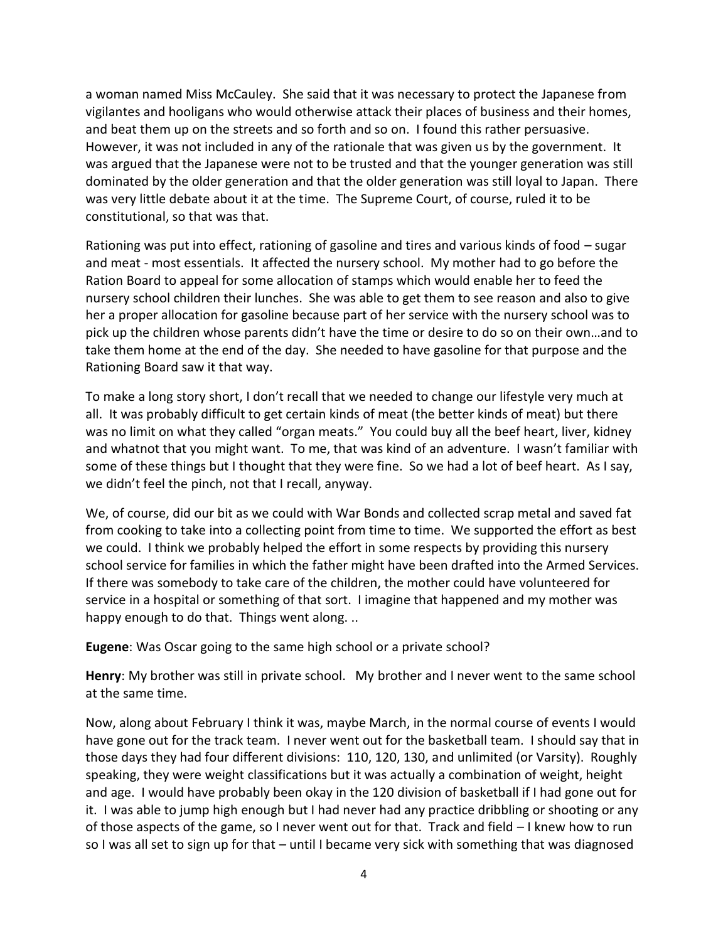a woman named Miss McCauley. She said that it was necessary to protect the Japanese from vigilantes and hooligans who would otherwise attack their places of business and their homes, and beat them up on the streets and so forth and so on. I found this rather persuasive. However, it was not included in any of the rationale that was given us by the government. It was argued that the Japanese were not to be trusted and that the younger generation was still dominated by the older generation and that the older generation was still loyal to Japan. There was very little debate about it at the time. The Supreme Court, of course, ruled it to be constitutional, so that was that.

Rationing was put into effect, rationing of gasoline and tires and various kinds of food – sugar and meat - most essentials. It affected the nursery school. My mother had to go before the Ration Board to appeal for some allocation of stamps which would enable her to feed the nursery school children their lunches. She was able to get them to see reason and also to give her a proper allocation for gasoline because part of her service with the nursery school was to pick up the children whose parents didn't have the time or desire to do so on their own…and to take them home at the end of the day. She needed to have gasoline for that purpose and the Rationing Board saw it that way.

To make a long story short, I don't recall that we needed to change our lifestyle very much at all. It was probably difficult to get certain kinds of meat (the better kinds of meat) but there was no limit on what they called "organ meats." You could buy all the beef heart, liver, kidney and whatnot that you might want. To me, that was kind of an adventure. I wasn't familiar with some of these things but I thought that they were fine. So we had a lot of beef heart. As I say, we didn't feel the pinch, not that I recall, anyway.

We, of course, did our bit as we could with War Bonds and collected scrap metal and saved fat from cooking to take into a collecting point from time to time. We supported the effort as best we could. I think we probably helped the effort in some respects by providing this nursery school service for families in which the father might have been drafted into the Armed Services. If there was somebody to take care of the children, the mother could have volunteered for service in a hospital or something of that sort. I imagine that happened and my mother was happy enough to do that. Things went along. ..

**Eugene**: Was Oscar going to the same high school or a private school?

**Henry**: My brother was still in private school. My brother and I never went to the same school at the same time.

Now, along about February I think it was, maybe March, in the normal course of events I would have gone out for the track team. I never went out for the basketball team. I should say that in those days they had four different divisions: 110, 120, 130, and unlimited (or Varsity). Roughly speaking, they were weight classifications but it was actually a combination of weight, height and age. I would have probably been okay in the 120 division of basketball if I had gone out for it. I was able to jump high enough but I had never had any practice dribbling or shooting or any of those aspects of the game, so I never went out for that. Track and field – I knew how to run so I was all set to sign up for that – until I became very sick with something that was diagnosed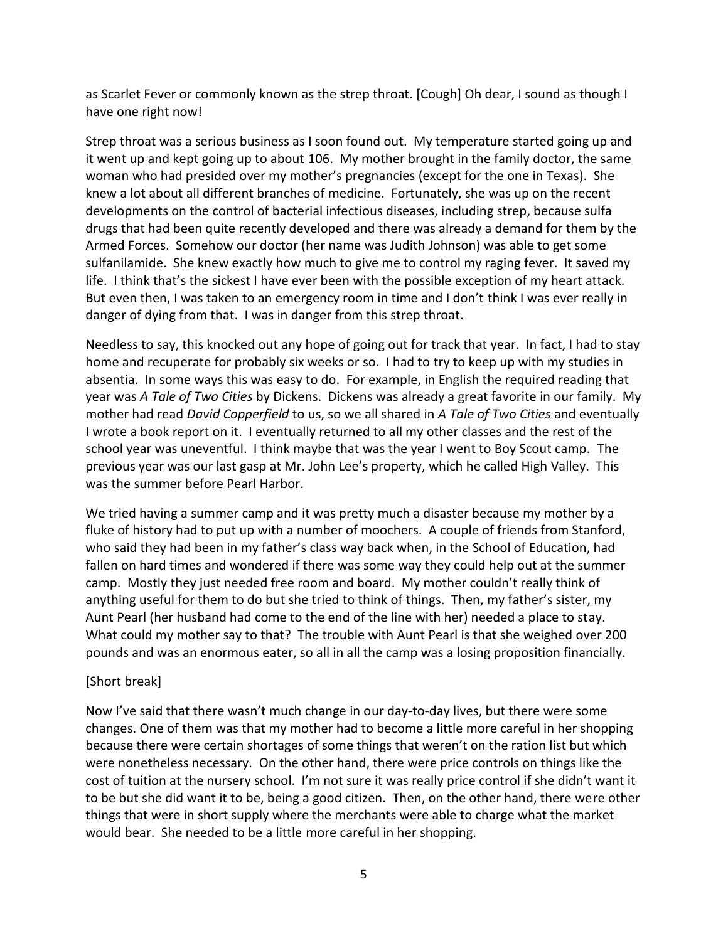as Scarlet Fever or commonly known as the strep throat. [Cough] Oh dear, I sound as though I have one right now!

Strep throat was a serious business as I soon found out. My temperature started going up and it went up and kept going up to about 106. My mother brought in the family doctor, the same woman who had presided over my mother's pregnancies (except for the one in Texas). She knew a lot about all different branches of medicine. Fortunately, she was up on the recent developments on the control of bacterial infectious diseases, including strep, because sulfa drugs that had been quite recently developed and there was already a demand for them by the Armed Forces. Somehow our doctor (her name was Judith Johnson) was able to get some sulfanilamide. She knew exactly how much to give me to control my raging fever. It saved my life. I think that's the sickest I have ever been with the possible exception of my heart attack. But even then, I was taken to an emergency room in time and I don't think I was ever really in danger of dying from that. I was in danger from this strep throat.

Needless to say, this knocked out any hope of going out for track that year. In fact, I had to stay home and recuperate for probably six weeks or so. I had to try to keep up with my studies in absentia. In some ways this was easy to do. For example, in English the required reading that year was *A Tale of Two Cities* by Dickens. Dickens was already a great favorite in our family. My mother had read *David Copperfield* to us, so we all shared in *A Tale of Two Cities* and eventually I wrote a book report on it. I eventually returned to all my other classes and the rest of the school year was uneventful. I think maybe that was the year I went to Boy Scout camp. The previous year was our last gasp at Mr. John Lee's property, which he called High Valley. This was the summer before Pearl Harbor.

We tried having a summer camp and it was pretty much a disaster because my mother by a fluke of history had to put up with a number of moochers. A couple of friends from Stanford, who said they had been in my father's class way back when, in the School of Education, had fallen on hard times and wondered if there was some way they could help out at the summer camp. Mostly they just needed free room and board. My mother couldn't really think of anything useful for them to do but she tried to think of things. Then, my father's sister, my Aunt Pearl (her husband had come to the end of the line with her) needed a place to stay. What could my mother say to that? The trouble with Aunt Pearl is that she weighed over 200 pounds and was an enormous eater, so all in all the camp was a losing proposition financially.

## [Short break]

Now I've said that there wasn't much change in our day-to-day lives, but there were some changes. One of them was that my mother had to become a little more careful in her shopping because there were certain shortages of some things that weren't on the ration list but which were nonetheless necessary. On the other hand, there were price controls on things like the cost of tuition at the nursery school. I'm not sure it was really price control if she didn't want it to be but she did want it to be, being a good citizen. Then, on the other hand, there were other things that were in short supply where the merchants were able to charge what the market would bear. She needed to be a little more careful in her shopping.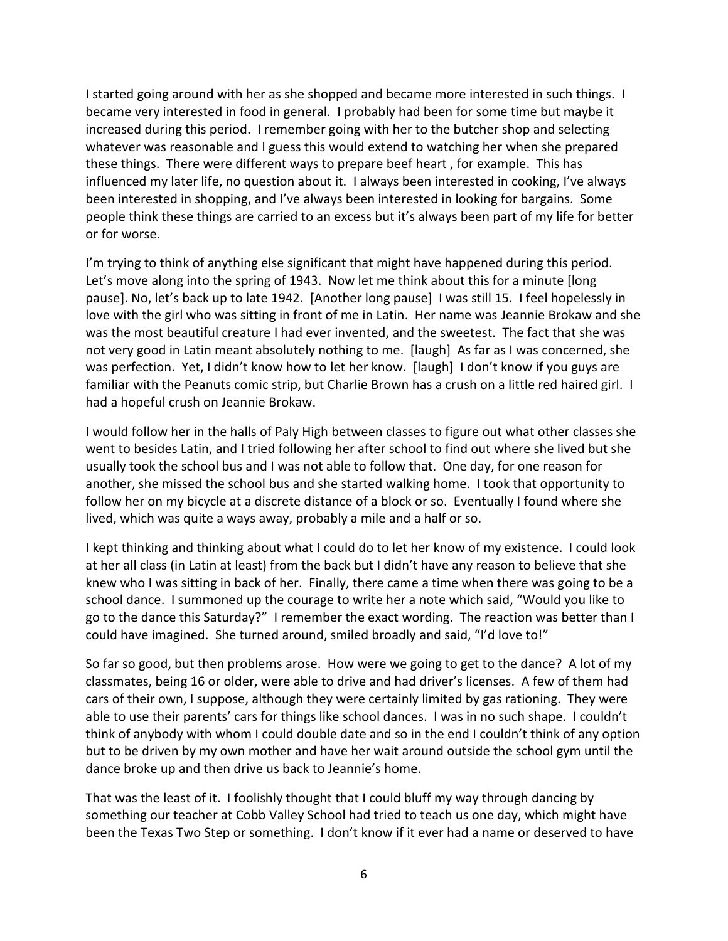I started going around with her as she shopped and became more interested in such things. I became very interested in food in general. I probably had been for some time but maybe it increased during this period. I remember going with her to the butcher shop and selecting whatever was reasonable and I guess this would extend to watching her when she prepared these things. There were different ways to prepare beef heart , for example. This has influenced my later life, no question about it. I always been interested in cooking, I've always been interested in shopping, and I've always been interested in looking for bargains. Some people think these things are carried to an excess but it's always been part of my life for better or for worse.

I'm trying to think of anything else significant that might have happened during this period. Let's move along into the spring of 1943. Now let me think about this for a minute [long pause]. No, let's back up to late 1942. [Another long pause] I was still 15. I feel hopelessly in love with the girl who was sitting in front of me in Latin. Her name was Jeannie Brokaw and she was the most beautiful creature I had ever invented, and the sweetest. The fact that she was not very good in Latin meant absolutely nothing to me. [laugh] As far as I was concerned, she was perfection. Yet, I didn't know how to let her know. [laugh] I don't know if you guys are familiar with the Peanuts comic strip, but Charlie Brown has a crush on a little red haired girl. I had a hopeful crush on Jeannie Brokaw.

I would follow her in the halls of Paly High between classes to figure out what other classes she went to besides Latin, and I tried following her after school to find out where she lived but she usually took the school bus and I was not able to follow that. One day, for one reason for another, she missed the school bus and she started walking home. I took that opportunity to follow her on my bicycle at a discrete distance of a block or so. Eventually I found where she lived, which was quite a ways away, probably a mile and a half or so.

I kept thinking and thinking about what I could do to let her know of my existence. I could look at her all class (in Latin at least) from the back but I didn't have any reason to believe that she knew who I was sitting in back of her. Finally, there came a time when there was going to be a school dance. I summoned up the courage to write her a note which said, "Would you like to go to the dance this Saturday?" I remember the exact wording. The reaction was better than I could have imagined. She turned around, smiled broadly and said, "I'd love to!"

So far so good, but then problems arose. How were we going to get to the dance? A lot of my classmates, being 16 or older, were able to drive and had driver's licenses. A few of them had cars of their own, I suppose, although they were certainly limited by gas rationing. They were able to use their parents' cars for things like school dances. I was in no such shape. I couldn't think of anybody with whom I could double date and so in the end I couldn't think of any option but to be driven by my own mother and have her wait around outside the school gym until the dance broke up and then drive us back to Jeannie's home.

That was the least of it. I foolishly thought that I could bluff my way through dancing by something our teacher at Cobb Valley School had tried to teach us one day, which might have been the Texas Two Step or something. I don't know if it ever had a name or deserved to have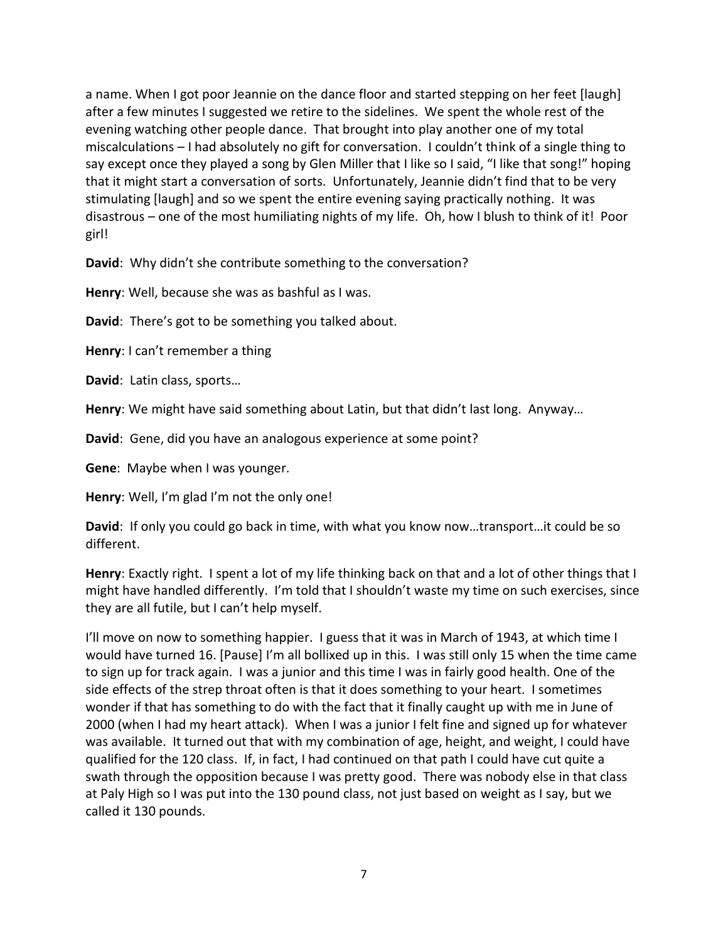a name. When I got poor Jeannie on the dance floor and started stepping on her feet [laugh] after a few minutes I suggested we retire to the sidelines. We spent the whole rest of the evening watching other people dance. That brought into play another one of my total miscalculations – I had absolutely no gift for conversation. I couldn't think of a single thing to say except once they played a song by Glen Miller that I like so I said, "I like that song!" hoping that it might start a conversation of sorts. Unfortunately, Jeannie didn't find that to be very stimulating [laugh] and so we spent the entire evening saying practically nothing. It was disastrous – one of the most humiliating nights of my life. Oh, how I blush to think of it! Poor girl!

**David**: Why didn't she contribute something to the conversation?

**Henry**: Well, because she was as bashful as I was.

**David**: There's got to be something you talked about.

**Henry**: I can't remember a thing

**David**: Latin class, sports…

**Henry**: We might have said something about Latin, but that didn't last long. Anyway…

**David**: Gene, did you have an analogous experience at some point?

**Gene**: Maybe when I was younger.

**Henry**: Well, I'm glad I'm not the only one!

**David**: If only you could go back in time, with what you know now…transport…it could be so different.

**Henry**: Exactly right. I spent a lot of my life thinking back on that and a lot of other things that I might have handled differently. I'm told that I shouldn't waste my time on such exercises, since they are all futile, but I can't help myself.

I'll move on now to something happier. I guess that it was in March of 1943, at which time I would have turned 16. [Pause] I'm all bollixed up in this. I was still only 15 when the time came to sign up for track again. I was a junior and this time I was in fairly good health. One of the side effects of the strep throat often is that it does something to your heart. I sometimes wonder if that has something to do with the fact that it finally caught up with me in June of 2000 (when I had my heart attack). When I was a junior I felt fine and signed up for whatever was available. It turned out that with my combination of age, height, and weight, I could have qualified for the 120 class. If, in fact, I had continued on that path I could have cut quite a swath through the opposition because I was pretty good. There was nobody else in that class at Paly High so I was put into the 130 pound class, not just based on weight as I say, but we called it 130 pounds.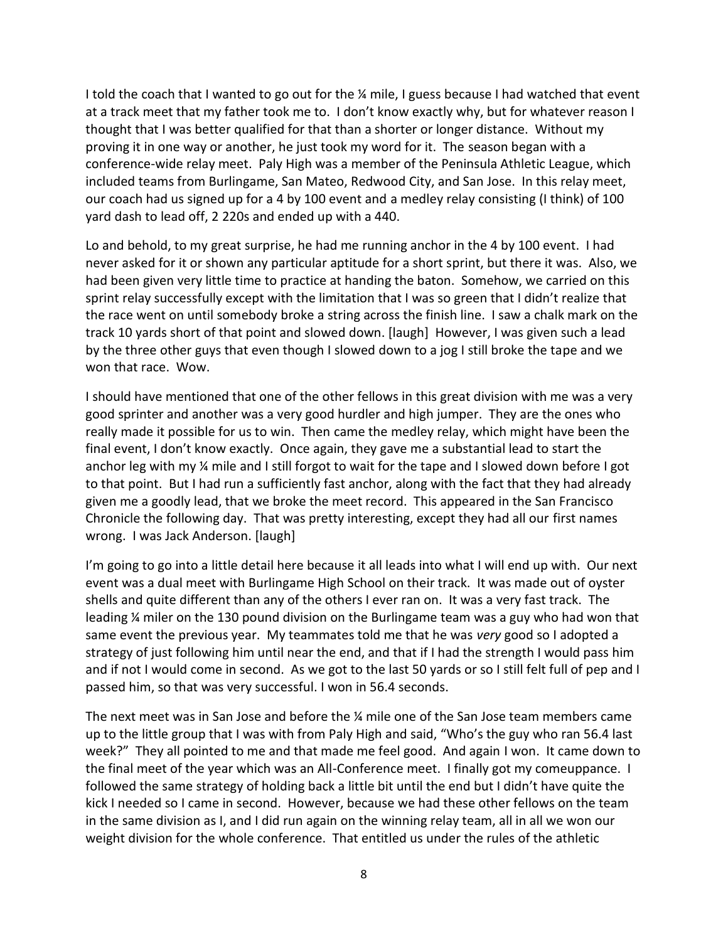I told the coach that I wanted to go out for the ¼ mile, I guess because I had watched that event at a track meet that my father took me to. I don't know exactly why, but for whatever reason I thought that I was better qualified for that than a shorter or longer distance. Without my proving it in one way or another, he just took my word for it. The season began with a conference-wide relay meet. Paly High was a member of the Peninsula Athletic League, which included teams from Burlingame, San Mateo, Redwood City, and San Jose. In this relay meet, our coach had us signed up for a 4 by 100 event and a medley relay consisting (I think) of 100 yard dash to lead off, 2 220s and ended up with a 440.

Lo and behold, to my great surprise, he had me running anchor in the 4 by 100 event. I had never asked for it or shown any particular aptitude for a short sprint, but there it was. Also, we had been given very little time to practice at handing the baton. Somehow, we carried on this sprint relay successfully except with the limitation that I was so green that I didn't realize that the race went on until somebody broke a string across the finish line. I saw a chalk mark on the track 10 yards short of that point and slowed down. [laugh] However, I was given such a lead by the three other guys that even though I slowed down to a jog I still broke the tape and we won that race. Wow.

I should have mentioned that one of the other fellows in this great division with me was a very good sprinter and another was a very good hurdler and high jumper. They are the ones who really made it possible for us to win. Then came the medley relay, which might have been the final event, I don't know exactly. Once again, they gave me a substantial lead to start the anchor leg with my ¼ mile and I still forgot to wait for the tape and I slowed down before I got to that point. But I had run a sufficiently fast anchor, along with the fact that they had already given me a goodly lead, that we broke the meet record. This appeared in the San Francisco Chronicle the following day. That was pretty interesting, except they had all our first names wrong. I was Jack Anderson. [laugh]

I'm going to go into a little detail here because it all leads into what I will end up with. Our next event was a dual meet with Burlingame High School on their track. It was made out of oyster shells and quite different than any of the others I ever ran on. It was a very fast track. The leading ¼ miler on the 130 pound division on the Burlingame team was a guy who had won that same event the previous year. My teammates told me that he was *very* good so I adopted a strategy of just following him until near the end, and that if I had the strength I would pass him and if not I would come in second. As we got to the last 50 yards or so I still felt full of pep and I passed him, so that was very successful. I won in 56.4 seconds.

The next meet was in San Jose and before the ¼ mile one of the San Jose team members came up to the little group that I was with from Paly High and said, "Who's the guy who ran 56.4 last week?" They all pointed to me and that made me feel good. And again I won. It came down to the final meet of the year which was an All-Conference meet. I finally got my comeuppance. I followed the same strategy of holding back a little bit until the end but I didn't have quite the kick I needed so I came in second. However, because we had these other fellows on the team in the same division as I, and I did run again on the winning relay team, all in all we won our weight division for the whole conference. That entitled us under the rules of the athletic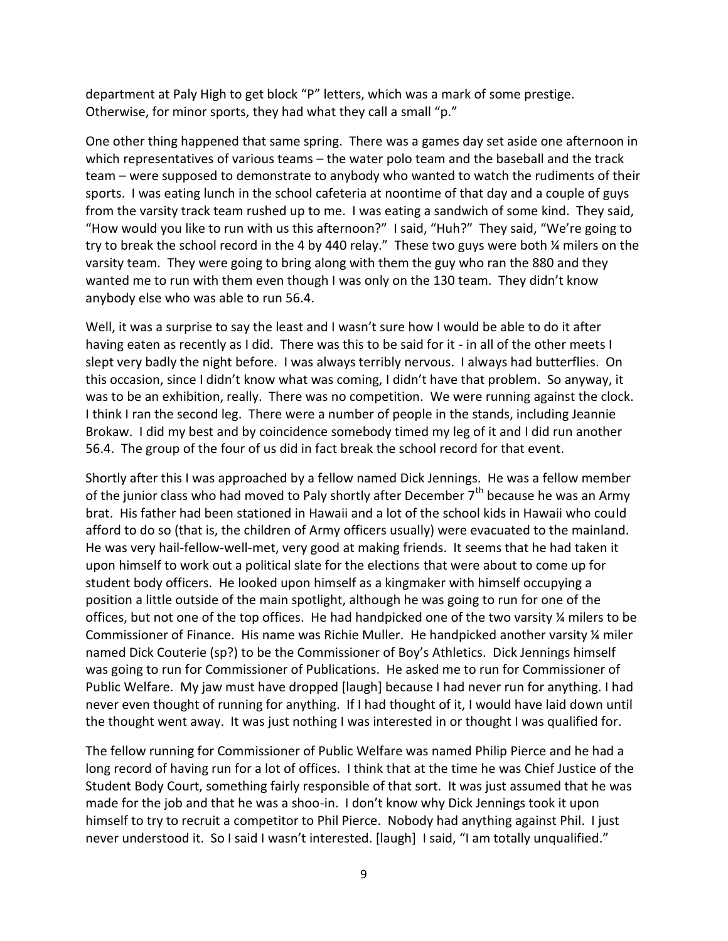department at Paly High to get block "P" letters, which was a mark of some prestige. Otherwise, for minor sports, they had what they call a small "p."

One other thing happened that same spring. There was a games day set aside one afternoon in which representatives of various teams – the water polo team and the baseball and the track team – were supposed to demonstrate to anybody who wanted to watch the rudiments of their sports. I was eating lunch in the school cafeteria at noontime of that day and a couple of guys from the varsity track team rushed up to me. I was eating a sandwich of some kind. They said, "How would you like to run with us this afternoon?" I said, "Huh?" They said, "We're going to try to break the school record in the 4 by 440 relay." These two guys were both ¼ milers on the varsity team. They were going to bring along with them the guy who ran the 880 and they wanted me to run with them even though I was only on the 130 team. They didn't know anybody else who was able to run 56.4.

Well, it was a surprise to say the least and I wasn't sure how I would be able to do it after having eaten as recently as I did. There was this to be said for it - in all of the other meets I slept very badly the night before. I was always terribly nervous. I always had butterflies. On this occasion, since I didn't know what was coming, I didn't have that problem. So anyway, it was to be an exhibition, really. There was no competition. We were running against the clock. I think I ran the second leg. There were a number of people in the stands, including Jeannie Brokaw. I did my best and by coincidence somebody timed my leg of it and I did run another 56.4. The group of the four of us did in fact break the school record for that event.

Shortly after this I was approached by a fellow named Dick Jennings. He was a fellow member of the junior class who had moved to Paly shortly after December  $7<sup>th</sup>$  because he was an Army brat. His father had been stationed in Hawaii and a lot of the school kids in Hawaii who could afford to do so (that is, the children of Army officers usually) were evacuated to the mainland. He was very hail-fellow-well-met, very good at making friends. It seems that he had taken it upon himself to work out a political slate for the elections that were about to come up for student body officers. He looked upon himself as a kingmaker with himself occupying a position a little outside of the main spotlight, although he was going to run for one of the offices, but not one of the top offices. He had handpicked one of the two varsity ¼ milers to be Commissioner of Finance. His name was Richie Muller. He handpicked another varsity ¼ miler named Dick Couterie (sp?) to be the Commissioner of Boy's Athletics. Dick Jennings himself was going to run for Commissioner of Publications. He asked me to run for Commissioner of Public Welfare. My jaw must have dropped [laugh] because I had never run for anything. I had never even thought of running for anything. If I had thought of it, I would have laid down until the thought went away. It was just nothing I was interested in or thought I was qualified for.

The fellow running for Commissioner of Public Welfare was named Philip Pierce and he had a long record of having run for a lot of offices. I think that at the time he was Chief Justice of the Student Body Court, something fairly responsible of that sort. It was just assumed that he was made for the job and that he was a shoo-in. I don't know why Dick Jennings took it upon himself to try to recruit a competitor to Phil Pierce. Nobody had anything against Phil. I just never understood it. So I said I wasn't interested. [laugh] I said, "I am totally unqualified."